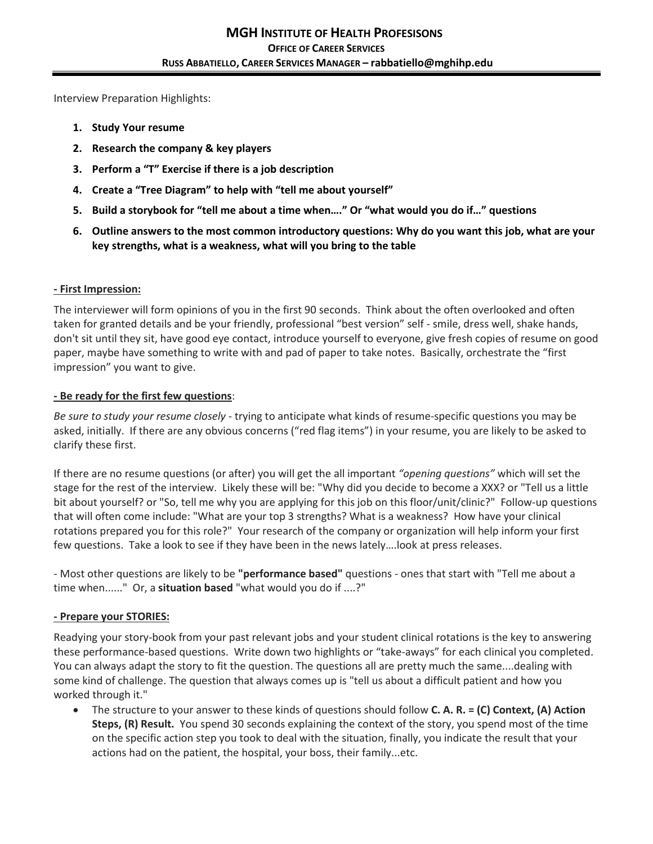Interview Preparation Highlights:

- **1. Study Your resume**
- **2. Research the company & key players**
- **3. Perform a "T" Exercise if there is a job description**
- **4. Create a "Tree Diagram" to help with "tell me about yourself"**
- **5. Build a storybook for "tell me about a time when…." Or "what would you do if…" questions**
- **6. Outline answers to the most common introductory questions: Why do you want this job, what are your key strengths, what is a weakness, what will you bring to the table**

### **- First Impression:**

The interviewer will form opinions of you in the first 90 seconds. Think about the often overlooked and often taken for granted details and be your friendly, professional "best version" self - smile, dress well, shake hands, don't sit until they sit, have good eye contact, introduce yourself to everyone, give fresh copies of resume on good paper, maybe have something to write with and pad of paper to take notes. Basically, orchestrate the "first impression" you want to give.

### **- Be ready for the first few questions**:

*Be sure to study your resume closely* - trying to anticipate what kinds of resume-specific questions you may be asked, initially. If there are any obvious concerns ("red flag items") in your resume, you are likely to be asked to clarify these first.

If there are no resume questions (or after) you will get the all important *"opening questions"* which will set the stage for the rest of the interview. Likely these will be: "Why did you decide to become a XXX? or "Tell us a little bit about yourself? or "So, tell me why you are applying for this job on this floor/unit/clinic?" Follow-up questions that will often come include: "What are your top 3 strengths? What is a weakness? How have your clinical rotations prepared you for this role?" Your research of the company or organization will help inform your first few questions. Take a look to see if they have been in the news lately….look at press releases.

- Most other questions are likely to be **"performance based"** questions - ones that start with "Tell me about a time when......" Or, a **situation based** "what would you do if ....?"

### **- Prepare your STORIES:**

Readying your story-book from your past relevant jobs and your student clinical rotations is the key to answering these performance-based questions. Write down two highlights or "take-aways" for each clinical you completed. You can always adapt the story to fit the question. The questions all are pretty much the same....dealing with some kind of challenge. The question that always comes up is "tell us about a difficult patient and how you worked through it."

 The structure to your answer to these kinds of questions should follow **C. A. R. = (C) Context, (A) Action Steps, (R) Result.** You spend 30 seconds explaining the context of the story, you spend most of the time on the specific action step you took to deal with the situation, finally, you indicate the result that your actions had on the patient, the hospital, your boss, their family...etc.